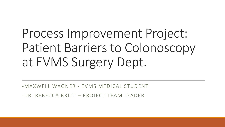Process Improvement Project: Patient Barriers to Colonoscopy at EVMS Surgery Dept.

-MAXWELL WAGNER - EVMS MEDICAL STUDENT

-DR. REBECCA BRITT – PROJECT TEAM LEADER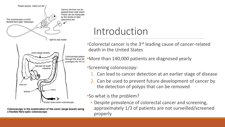

Colonoscopy is the examination of the colon (large bowel) using a flexible fibre-optic colonoscope

### Introduction

•Colorectal cancer is the 3<sup>rd</sup> leading cause of cancer-related death in the United States

•More than 140,000 patients are diagnosed yearly

- •Screening colonoscopy:
	- 1. Can lead to cancer detection at an earlier stage of disease
	- 2. Can be used to prevent future development of cancer by the detection of polyps that can be removed

### •So what is the problem?

• Despite prevalence of colorectal cancer and screening, approximately 1/3 of patients are not surveilled/screened properly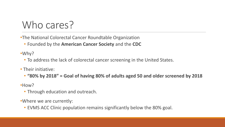### Who cares?

- •The National Colorectal Cancer Roundtable Organization
	- Founded by the **American Cancer Society** and the **CDC**

•Why?

- To address the lack of colorectal cancer screening in the United States.
- Their initiative:
	- **"80% by 2018" = Goal of having 80% of adults aged 50 and older screened by 2018**

•How?

• Through education and outreach.

•Where we are currently:

• EVMS ACC Clinic population remains significantly below the 80% goal.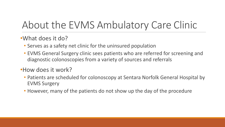# About the EVMS Ambulatory Care Clinic

### •What does it do?

- Serves as a safety net clinic for the uninsured population
- EVMS General Surgery clinic sees patients who are referred for screening and diagnostic colonoscopies from a variety of sources and referrals

### •How does it work?

- Patients are scheduled for colonoscopy at Sentara Norfolk General Hospital by EVMS Surgery
- However, many of the patients do not show up the day of the procedure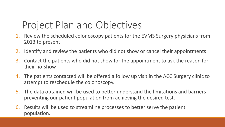# Project Plan and Objectives

- 1. Review the scheduled colonoscopy patients for the EVMS Surgery physicians from 2013 to present
- 2. Identify and review the patients who did not show or cancel their appointments
- 3. Contact the patients who did not show for the appointment to ask the reason for their no-show
- 4. The patients contacted will be offered a follow up visit in the ACC Surgery clinic to attempt to reschedule the colonoscopy.
- 5. The data obtained will be used to better understand the limitations and barriers preventing our patient population from achieving the desired test.
- 6. Results will be used to streamline processes to better serve the patient population.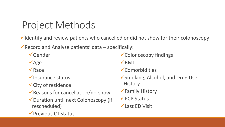### Project Methods

 $\checkmark$  Identify and review patients who cancelled or did not show for their colonoscopy

Record and Analyze patients' data  $-$  specifically:

- **√Gender**
- $\sqrt{Age}$
- $\sqrt{R}$ ace
- $\checkmark$  Insurance status
- City of residence
- $\sqrt{\frac{1}{100}}$  Reasons for cancellation/no-show
- Duration until next Colonoscopy (if rescheduled)
- Colonoscopy findings
- $\sqrt{BM}$
- Comorbidities
- Smoking, Alcohol, and Drug Use **History**
- Family History
- **√ PCP Status**
- Last ED Visit

 $\sqrt{\frac{1}{2}}$  Previous CT status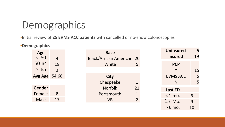### Demographics

### •Initial review of **25 EVMS ACC patients** with cancelled or no-show colonoscopies

#### •**Demographics**

| Age            |       |
|----------------|-------|
| < 50           | 4     |
| 50-64          | 18    |
| 65<br>$\geq$   | 3     |
| <b>Avg Age</b> | 54.68 |
|                |       |
| Gender         |       |
| Female         | 8     |
| Male           | 17    |

| Race                          |               |
|-------------------------------|---------------|
| <b>Black/African American</b> | 20            |
| White                         | 5             |
|                               |               |
| City                          |               |
| Chespeake                     | 1             |
| <b>Norfolk</b>                | 21            |
| Portsmouth                    | 1             |
| VB                            | $\mathcal{P}$ |
|                               |               |

| <b>Uninsured</b> |    |  |
|------------------|----|--|
| Insured          | 19 |  |
| <b>PCP</b>       |    |  |
| Y                | 15 |  |
| <b>EVMS ACC</b>  | 5  |  |
| N                | 5  |  |
| <b>Last ED</b>   |    |  |
| $<$ 1-mo.        | 6  |  |
| 2-6 Mo.          | 9  |  |
| $> 6$ mo.        | 10 |  |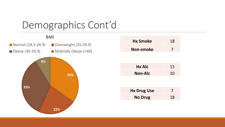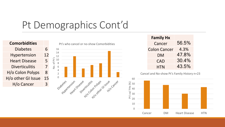## Pt Demographics Cont'd

| <b>Comorbidities</b>  |    |
|-----------------------|----|
| <b>Diabetes</b>       | 6  |
| <b>Hypertension</b>   | 12 |
| <b>Heart Disease</b>  | 5  |
| <b>Diverticulitis</b> | 7  |
| H/o Colon Polyps      | 8  |
| H/o other GI Issue    | 15 |
| H/o Cancer            | 3  |
|                       |    |



| <b>Family Hx</b>    |       |
|---------------------|-------|
| Cancer              | 56.5% |
| <b>Colon Cancer</b> | 4.3%  |
| DM                  | 47.8% |
| <b>CAD</b>          | 30.4% |
| HTN                 | 43.5% |

Cancel and No-show Pt's Family History n=23

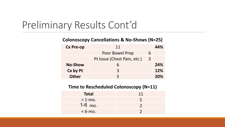### Preliminary Results Cont'd

#### **Colonoscopy Cancellations & No-Shows (N=25)**

| <b>Cx Pre-op</b> | 11                          |   | 44%        |
|------------------|-----------------------------|---|------------|
|                  | Poor Bowel Prep             | 6 |            |
|                  | Pt Issue (Chest Pain, etc.) | 3 |            |
| <b>No-Show</b>   | h                           |   | 24%        |
| Cx by Pt         | $\mathbf{R}$                |   | 12%        |
| <b>Other</b>     |                             |   | <b>20%</b> |

#### **Time to Rescheduled Colonoscopy (N=11)**

| <b>Total</b> | 11 |
|--------------|----|
| $<$ 1-mo.    | 5  |
| $1-6$ mo.    |    |
| $< 6$ -mo.   |    |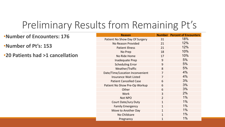### Preliminary Results from Remaining Pt's

#### •**Number of Encounters: 176** •**Number of Pt's: 153** •**20 Patients had >1 cancellation Reason Number Percent of Encounters** Patient No Show Day Of Surgery 31 18% No Reason Provided 21 21 12% Patient Illness 21 21 12% No Prep 18 18 10% No Ride Home 17 10% Inadequate Prep 19 and 19 and 19 and 19 and 19 and 19 and 19 and 19 and 19 and 19 and 19 and 19 and 19 and 19 Scheduling Error 1990 - 1990 - 1991 - 1991 - 1991 - 1991 - 1991 - 1991 - 1991 - 1991 - 1991 - 1991 - 1991 - 19 Weather/Traffic 8 5% Date/Time/Location Inconvenient 7 7 4% Insurance Wait Listed **7** 1 1 2 4 4 4 4 4 4 4  $\sigma$ Patient Cancelled Case **6 6 1 1 1 1 1 3**%

| Patient No Show Day Of Surgery  | 31             | 18%   |
|---------------------------------|----------------|-------|
| <b>No Reason Provided</b>       | 21             | 12%   |
| <b>Patient Illness</b>          | 21             | 12%   |
| No Prep                         | 18             | 10%   |
| No Ride Home                    | 17             | 10%   |
| <b>Inadequate Prep</b>          | 9              | 5%    |
| <b>Scheduling Error</b>         | 9              | 5%    |
| Weather/Traffic                 | 8              | 5%    |
| Date/Time/Location Inconvenient | $\overline{7}$ | 4%    |
| <b>Insurance Wait Listed</b>    | $\overline{7}$ | 4%    |
| <b>Patient Cancelled Case</b>   | 6              | 3%    |
| Patient No Show Pre-Op Workup   | 6              | 3%    |
| Other                           | 6              | 3%    |
| <b>Work</b>                     | 3              | 2%    |
| Not NPO                         | $\overline{2}$ | 1%    |
| <b>Court Date/Jury Duty</b>     | $\mathbf{1}$   | $1\%$ |
| <b>Family Emergency</b>         | $\mathbf{1}$   | $1\%$ |
| Move to Another Day             | $\mathbf{1}$   | $1\%$ |
| No Childcare                    | $\mathbf{1}$   | $1\%$ |
| Pregnancy                       | $\mathbf{1}$   | $1\%$ |